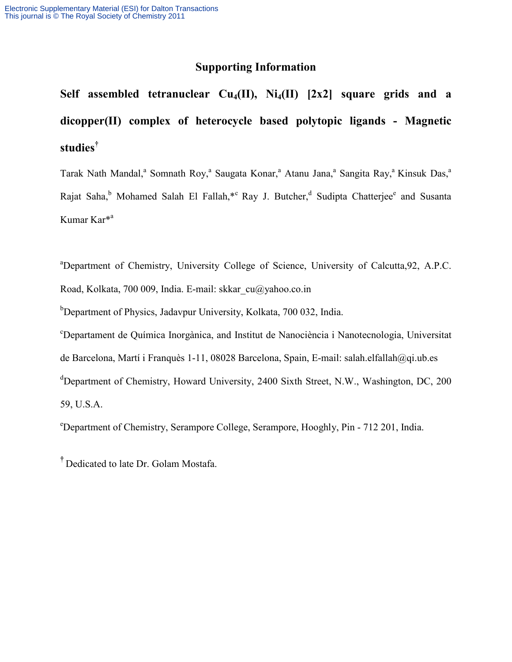## **Supporting Information**

Self assembled tetranuclear  $Cu_4(II)$ ,  $Ni_4(II)$   $[2x2]$  square grids and a **dicopper(II) complex of heterocycle based polytopic ligands - Magnetic studies†**

Tarak Nath Mandal,<sup>a</sup> Somnath Roy,<sup>a</sup> Saugata Konar,<sup>a</sup> Atanu Jana,<sup>a</sup> Sangita Ray,<sup>a</sup> Kinsuk Das,<sup>a</sup> Rajat Saha,<sup>b</sup> Mohamed Salah El Fallah,\*c Ray J. Butcher,<sup>d</sup> Sudipta Chatterjee<sup>e</sup> and Susanta Kumar Kar\*<sup>a</sup>

<sup>a</sup>Department of Chemistry, University College of Science, University of Calcutta, 92, A.P.C. Road, Kolkata, 700 009, India. E-mail: [skkar\\_cu@yahoo.co.in](mailto:skkar_cu@yahoo.co.in)

<sup>b</sup>Department of Physics, Jadavpur University, Kolkata, 700 032, India.

c Departament de Química Inorgànica, and Institut de Nanociència i Nanotecnologia, Universitat de Barcelona, Martí i Franquès 1-11, 08028 Barcelona, Spain, E-mail: [salah.elfallah@qi.ub.es](mailto:salah.elfallah@qi.ub.es) <sup>d</sup>Department of Chemistry, Howard University, 2400 Sixth Street, N.W., Washington, DC, 200 59, U.S.A.

e Department of Chemistry, Serampore College, Serampore, Hooghly, Pin - 712 201, India.

**†** Dedicated to late Dr. Golam Mostafa.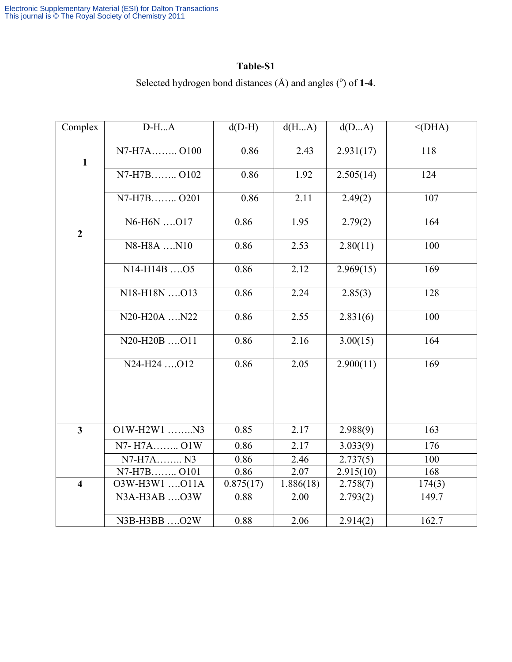## **Table-S1**

| Complex                 | $D-HA$                               | $d(D-H)$  | d(HA)     | d(DA)     | $<$ (DHA) |
|-------------------------|--------------------------------------|-----------|-----------|-----------|-----------|
| $\mathbf{1}$            | N7-H7A O100                          | 0.86      | 2.43      | 2.931(17) | 118       |
|                         | N7-H7B0102                           | 0.86      | 1.92      | 2.505(14) | 124       |
|                         | N7-H7B O201                          | 0.86      | 2.11      | 2.49(2)   | 107       |
| $\overline{2}$          | N6-H6N 017                           | 0.86      | 1.95      | 2.79(2)   | 164       |
|                         | N8-H8A N10                           | 0.86      | 2.53      | 2.80(11)  | 100       |
|                         | $N14-H14B$ . 05                      | 0.86      | 2.12      | 2.969(15) | 169       |
|                         | N18-H18N 013                         | 0.86      | 2.24      | 2.85(3)   | 128       |
|                         | $N20-H20A$ $N22$                     | 0.86      | 2.55      | 2.831(6)  | 100       |
|                         | $N20-H20B$ $O11$                     | 0.86      | 2.16      | 3.00(15)  | 164       |
|                         | N24-H24 O12                          | 0.86      | 2.05      | 2.900(11) | 169       |
|                         |                                      |           |           |           |           |
|                         |                                      |           |           |           |           |
| $\overline{\mathbf{3}}$ | $O1W-H2W1$ N3                        | 0.85      | 2.17      | 2.988(9)  | 163       |
|                         | N7-H7A O1W                           | 0.86      | 2.17      | 3.033(9)  | 176       |
|                         | $\overline{\text{N7-H7}}\text{A}$ N3 | 0.86      | 2.46      | 2.737(5)  | 100       |
|                         | N7-H7B0101                           | 0.86      | 2.07      | 2.915(10) | 168       |
| $\overline{\mathbf{4}}$ | O3W-H3W1 O11A                        | 0.875(17) | 1.886(18) | 2.758(7)  | 174(3)    |
|                         | N3A-H3AB  O3W                        | 0.88      | 2.00      | 2.793(2)  | 149.7     |
|                         | N3B-H3BB O2W                         | 0.88      | 2.06      | 2.914(2)  | 162.7     |

Selected hydrogen bond distances  $(A)$  and angles  $(°)$  of 1-4.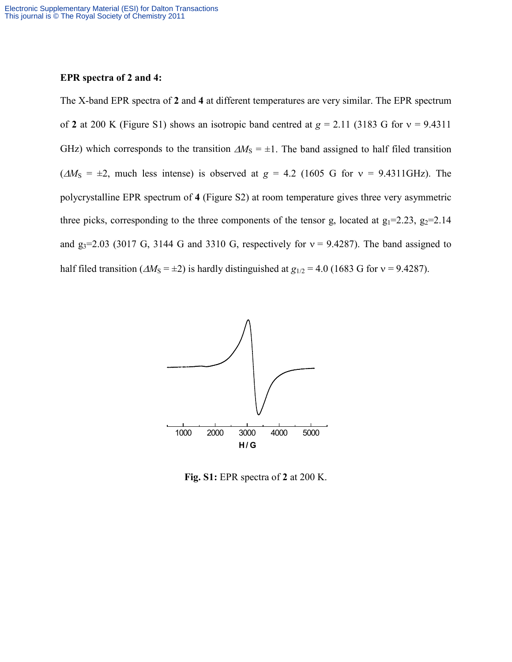## **EPR spectra of 2 and 4:**

The X-band EPR spectra of **2** and **4** at different temperatures are very similar. The EPR spectrum of **2** at 200 K (Figure S1) shows an isotropic band centred at  $g = 2.11$  (3183 G for  $v = 9.4311$ ) GHz) which corresponds to the transition  $\Delta M<sub>S</sub> = \pm 1$ . The band assigned to half filed transition  $(\Delta M_S = \pm 2$ , much less intense) is observed at  $g = 4.2$  (1605 G for  $v = 9.4311 \text{ GHz}$ ). The polycrystalline EPR spectrum of **4** (Figure S2) at room temperature gives three very asymmetric three picks, corresponding to the three components of the tensor g, located at  $g_1=2.23$ ,  $g_2=2.14$ and  $g_3$ =2.03 (3017 G, 3144 G and 3310 G, respectively for  $v = 9.4287$ ). The band assigned to half filed transition ( $\Delta M_s = \pm 2$ ) is hardly distinguished at  $g_{1/2} = 4.0$  (1683 G for  $v = 9.4287$ ).



**Fig. S1:** EPR spectra of **2** at 200 K.